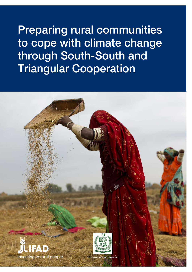Preparing rural communities to cope with climate change through South-South and Triangular Cooperation

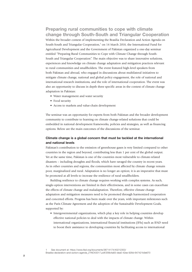Preparing rural communities to cope with climate change through South-South and Triangular Cooperation

 entitled "Preparing Rural Communities to Cope with Climate Change through South-Within the broader context of implementing the Brasilia Declaration and Action Agenda on South-South and Triangular Cooperation,<sup>1</sup> on 14 March 2018, the International Fund for Agricultural Development and the Government of Pakistan organized a one-day seminar South and Triangular Cooperation". The main objective was to share innovative solutions, experiences and knowledge on climate change adaptation and mitigation practices relevant to rural communities and smallholders. The event featured high-level speakers from both Pakistan and abroad, who engaged in discussions about multilateral initiatives to mitigate climate change, national and global policy engagement, the role of national and international research institutions, and the role of international cooperation. The event was also an opportunity to discuss in depth three specific areas in the context of climate change adaptation in Pakistan:

- Water management and water security
- Food security
- Access to markets and value-chain development

The seminar was an opportunity for experts from both Pakistan and the broader development community to contribute to learning on climate change-related solutions that could be embedded in national development frameworks, policies and strategies, as well as financing options. Below are the main outcomes of the discussions of the seminar.

# Climate change is a global concern that must be tackled at the international and national levels

Pakistan's contribution to the emission of greenhouse gases is very limited compared to other countries in the region and beyond, contributing less than 1 per cent of the global output. Yet at the same time, Pakistan is one of the countries most vulnerable to climate-related disasters – including droughts and floods, which have ravaged the country in recent years. As in other countries and regions, the communities most affected by climate change remain poor, marginalized and rural. Adaptation is no longer an option; it is an imperative that must be promoted at all levels to increase the resilience of rural smallholders.

Building resilience to climate change requires working with complex systems. As such, single-option interventions are limited in their effectiveness, and in some cases can exacerbate the effects of climate change and maladaptation. Therefore, effective climate change adaptation and mitigation measures need to be promoted through harmonized cooperation and concerted efforts. Progress has been made over the years, with important milestones such as the Paris Climate Agreement and the adoption of the Sustainable Development Goals, supported by:

• Intergovernmental organizations, which play a key role in helping countries develop effective national policies to deal with the impacts of climate change. Within international organizations, international financial institutions (IFIs) such as IFAD need to boost their assistance to developing countries by facilitating access to international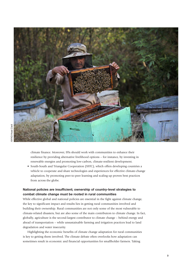

climate finance. Moreover, IFIs should work with communities to enhance their resilience by providing alternative livelihood options – for instance, by investing in renewable energies and promoting low-carbon, climate-resilient development.

• South-South and Triangular Cooperation (SSTC), which offers developing countries a vehicle to cooperate and share technologies and experiences for effective climate-change adaptation, by promoting peer-to-peer learning and scaling up proven best practices from across the globe.

# National policies are insufficient; ownership of country-level strategies to combat climate change must be rooted in rural communities

While effective global and national policies are essential in the fight against climate change, the key to significant impact and results lies in getting rural communities involved and building their ownership. Rural communities are not only some of the most vulnerable to climate-related disasters, but are also some of the main contributors to climate change. In fact, globally, agriculture is the second-largest contributor to climate change – behind energy and ahead of transportation – while unsustainable farming and irrigation practices lead to land degradation and water insecurity.

Highlighting the economic benefits of climate change adaptation for rural communities is key to getting them involved. The climate debate often overlooks how adaptation can sometimes result in economic and financial opportunities for smallholder farmers. Taking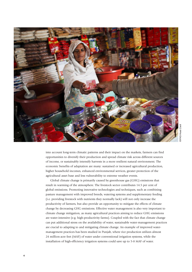

into account long-term climatic patterns and their impact on the markets, farmers can find opportunities to diversify their production and spread climate risk across different sources of income, or sustainably intensify harvests in a more resilient natural environment. The economic benefits of adaptation are many: sustained or increased agricultural production, higher household incomes, enhanced environmental services, greater protection of the agricultural asset base and less vulnerability to extreme weather events.

Global climate change is primarily caused by greenhouse gas (GHG) emissions that result in warming of the atmosphere. The livestock sector contributes 14.5 per cent of global emissions. Promoting innovative technologies and techniques, such as combining pasture management with improved breeds, watering systems and supplementary feeding (i.e. providing livestock with nutrients they normally lack) will not only increase the productivity of farmers, but also provide an opportunity to mitigate the effects of climate change by decreasing GHG emissions. Effective water management is also very important to climate change mitigation, as many agricultural practices aiming to reduce GHG emissions are water-intensive (e.g. high-productivity farms). Coupled with the fact that climate change can put additional stress on the availability of water, sustainable water-management practices are crucial to adapting to and mitigating climate change. An example of improved watermanagement practices has been studied in Punjab, where rice production utilizes almost 24 million-acre feet (MAF) of water under conventional irrigation systems, while the installation of high-efficiency irrigation systems could save up to 5-8 MAF of water.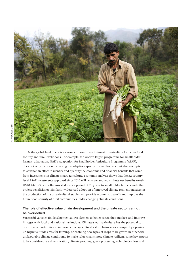

At the global level, there is a strong economic case to invest in agriculture for better food security and rural livelihoods. For example, the world's largest programme for smallholder farmers' adaptation, IFAD's Adaptation for Smallholder Agriculture Programme (ASAP), does not only focus on increasing the adaptive capacity of smallholders, but also attempts to advance an effort to identify and quantify the economic and financial benefits that come from investments in climate-smart agriculture. Economic analysis shows that the 32 countrylevel ASAP investments approved since 2010 will generate and redistribute net benefits worth US\$0.44-1.63 per dollar invested, over a period of 20 years, to smallholder farmers and other project beneficiaries. Similarly, widespread adoption of improved climate-resilient practices in the production of major agricultural staples will provide economic pay-offs and improve the future food security of rural communities under changing climate conditions.

# The role of effective value chain development and the private sector cannot be overlooked

Successful value chain development allows farmers to better access their markets and improve linkages with local and national institutions. Climate-smart agriculture has the potential to offer new opportunities to improve some agricultural value chains – for example, by opening up higher altitude areas for farming, or enabling new types of crops to be grown in otherwise unfavourable climate conditions. To make value chains more climate-resilient, some key aspects to be considered are diversification, climate proofing, green processing technologies, loss and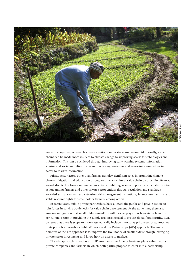

waste management, renewable energy solutions and water conservation. Additionally, value chains can be made more resilient to climate change by improving access to technologies and information. This can be achieved through improving early warning systems, information sharing and social mobilization, as well as raising awareness and removing asymmetries in access to market information.

Private-sector actors other than farmers can play significant roles in promoting climate change mitigation and adaptation throughout the agricultural value chain by providing finance, knowledge, technologies and market incentives. Public agencies and policies can enable positive action among farmers and other private-sector entities through regulation and standards, knowledge management and extension, risk-management institutions, finance mechanisms and stable resource rights for smallholder farmers, among others.

In recent years, public-private partnerships have allowed the public and private sectors to join forces in solving bottlenecks for value chain development. At the same time, there is a growing recognition that smallholder agriculture will have to play a much greater role in the agricultural sector in providing the supply response needed to ensure global food security. IFAD believes that there is scope to more systematically include innovative private-sector approaches in its portfolio through its Public-Private-Producer Partnerships (4Ps) approach. The main objective of the 4Ps approach is to improve the livelihoods of smallholders through leveraging private-sector investments and know-how on access to markets.

The 4Ps approach is used as a "pull" mechanism to finance business plans submitted by private companies and farmers in which both parties propose to enter into a partnership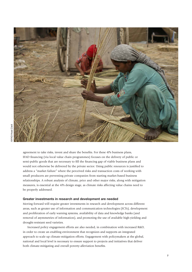

agreement to take risks, invest and share the benefits. For these 4Ps business plans, IFAD financing (via local value chain programmes) focuses on the delivery of public or semi-public goods that are necessary to fill the financing gap of viable business plans and would not otherwise be delivered by the private sector. Using public resources is justified to address a "market failure" where the perceived risks and transaction costs of working with small producers are preventing private companies from starting market-based business relationships. A robust analysis of climate, price and other major risks, along with mitigation measures, is essential at the 4Ps design stage, as climate risks affecting value chains need to be properly addressed.

#### Greater investments in research and development are needed

Moving forward will require greater investments in research and development across different areas, such as greater use of information and communication technologies (ICTs), development and proliferation of early warning systems, availability of data and knowledge banks (and removal of asymmetries of information), and promoting the use of available high-yielding and drought-resistant seed varieties.

Increased policy engagement efforts are also needed, in combination with increased R&D, in order to create an enabling environment that recognizes and supports an integrated approach to scale up climate-mitigation efforts. Engagement with policymakers at the global, national and local level is necessary to ensure support to projects and initiatives that deliver both climate-mitigating and overall poverty-alleviation benefits.